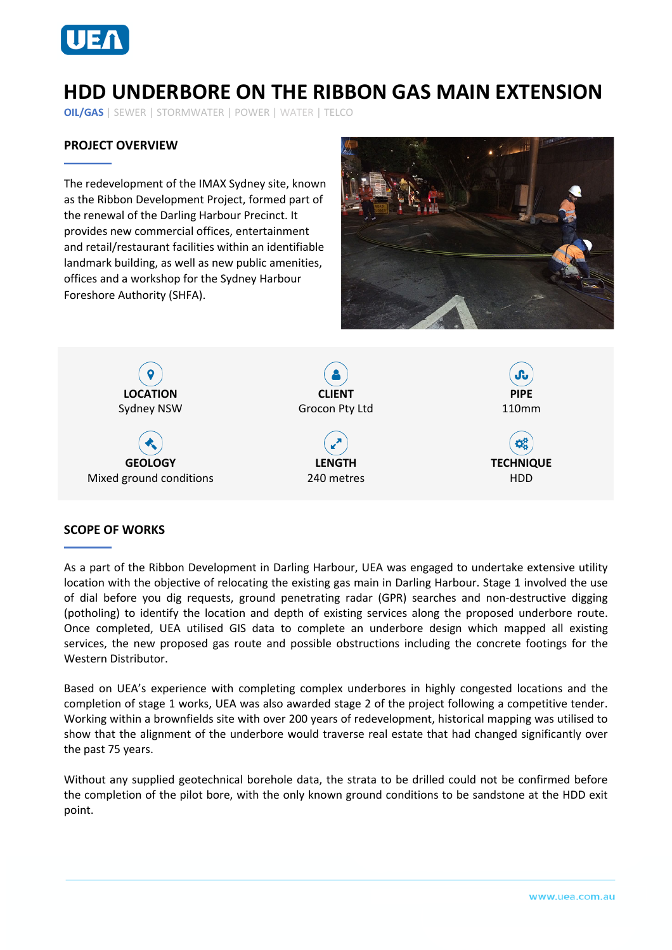

# **HDD UNDERBORE ON THE RIBBON GAS MAIN EXTENSION**

**OIL/GAS** | SEWER | STORMWATER | POWER | WATER | TELCO

## **PROJECT OVERVIEW**

The redevelopment of the IMAX Sydney site, known as the Ribbon Development Project, formed part of the renewal of the Darling Harbour Precinct. It provides new commercial offices, entertainment and retail/restaurant facilities within an identifiable landmark building, as well as new public amenities, offices and a workshop for the Sydney Harbour Foreshore Authority (SHFA).





### **SCOPE OF WORKS**

As a part of the Ribbon Development in Darling Harbour, UEA was engaged to undertake extensive utility location with the objective of relocating the existing gas main in Darling Harbour. Stage 1 involved the use of dial before you dig requests, ground penetrating radar (GPR) searches and non-destructive digging (potholing) to identify the location and depth of existing services along the proposed underbore route. Once completed, UEA utilised GIS data to complete an underbore design which mapped all existing services, the new proposed gas route and possible obstructions including the concrete footings for the Western Distributor.

Based on UEA's experience with completing complex underbores in highly congested locations and the completion of stage 1 works, UEA was also awarded stage 2 of the project following a competitive tender. Working within a brownfields site with over 200 years of redevelopment, historical mapping was utilised to show that the alignment of the underbore would traverse real estate that had changed significantly over the past 75 years.

Without any supplied geotechnical borehole data, the strata to be drilled could not be confirmed before the completion of the pilot bore, with the only known ground conditions to be sandstone at the HDD exit point.